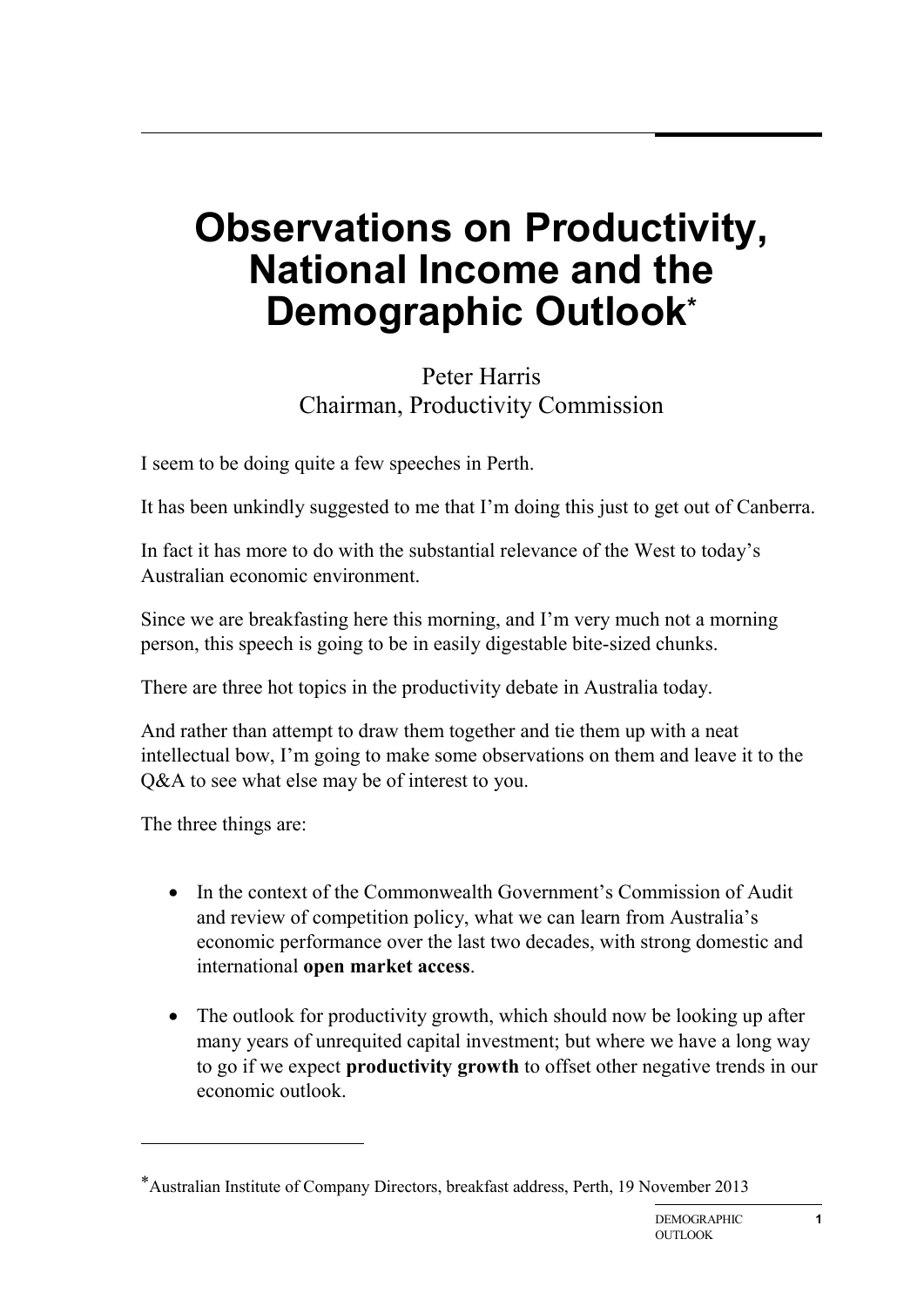## **Observations on Productivity, National Income and the Demographic Outlook\***

## Peter Harris Chairman, Productivity Commission

I seem to be doing quite a few speeches in Perth.

It has been unkindly suggested to me that I'm doing this just to get out of Canberra.

In fact it has more to do with the substantial relevance of the West to today's Australian economic environment.

Since we are breakfasting here this morning, and I'm very much not a morning person, this speech is going to be in easily digestable bite-sized chunks.

There are three hot topics in the productivity debate in Australia today.

And rather than attempt to draw them together and tie them up with a neat intellectual bow, I'm going to make some observations on them and leave it to the Q&A to see what else may be of interest to you.

The three things are:

**.** 

- In the context of the Commonwealth Government's Commission of Audit and review of competition policy, what we can learn from Australia's economic performance over the last two decades, with strong domestic and international **open market access**.
- The outlook for productivity growth, which should now be looking up after many years of unrequited capital investment; but where we have a long way to go if we expect **productivity growth** to offset other negative trends in our economic outlook.

<sup>\*</sup>Australian Institute of Company Directors, breakfast address, Perth, 19 November 2013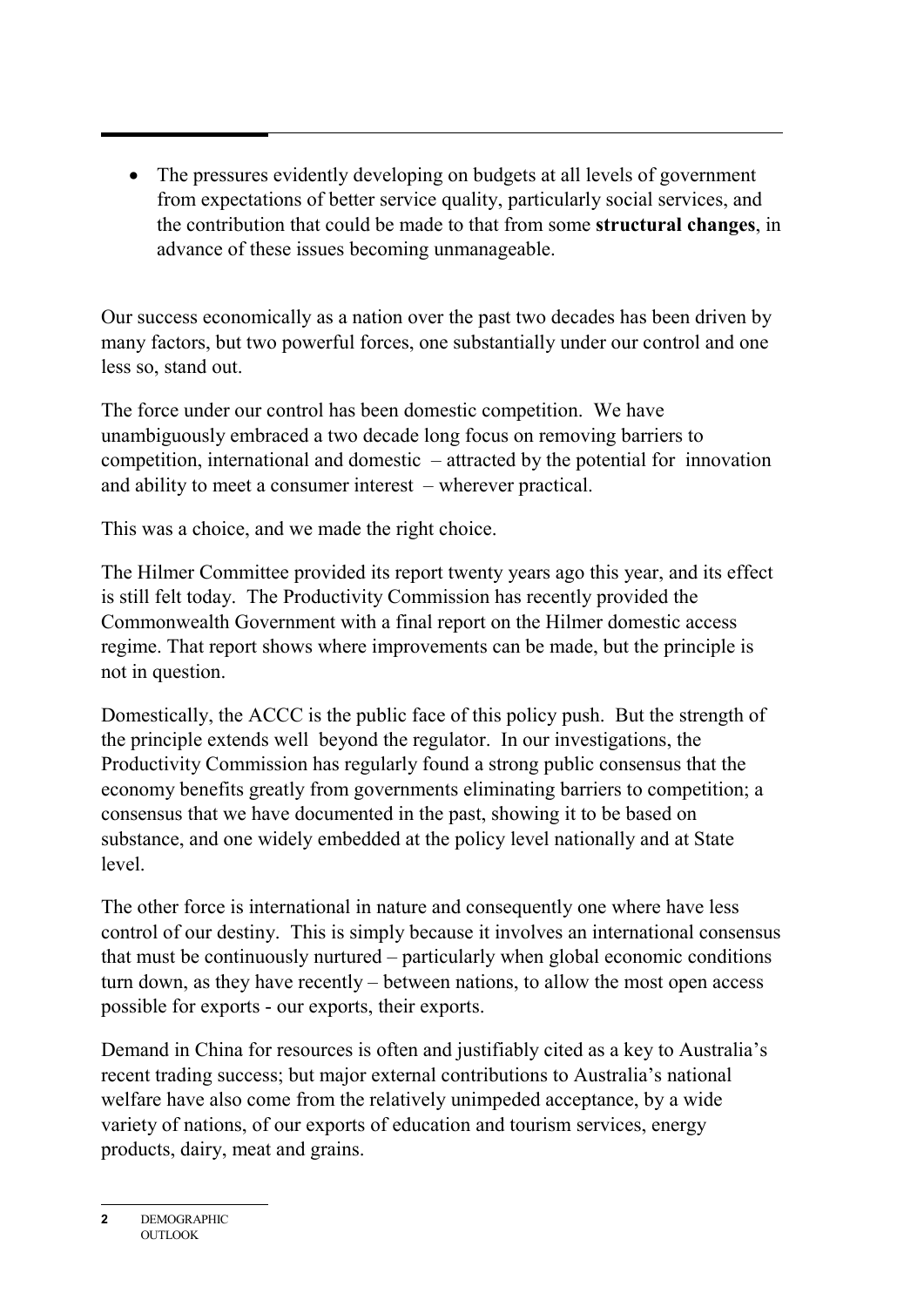• The pressures evidently developing on budgets at all levels of government from expectations of better service quality, particularly social services, and the contribution that could be made to that from some **structural changes**, in advance of these issues becoming unmanageable.

Our success economically as a nation over the past two decades has been driven by many factors, but two powerful forces, one substantially under our control and one less so, stand out.

The force under our control has been domestic competition. We have unambiguously embraced a two decade long focus on removing barriers to competition, international and domestic – attracted by the potential for innovation and ability to meet a consumer interest – wherever practical.

This was a choice, and we made the right choice.

The Hilmer Committee provided its report twenty years ago this year, and its effect is still felt today. The Productivity Commission has recently provided the Commonwealth Government with a final report on the Hilmer domestic access regime. That report shows where improvements can be made, but the principle is not in question.

Domestically, the ACCC is the public face of this policy push. But the strength of the principle extends well beyond the regulator. In our investigations, the Productivity Commission has regularly found a strong public consensus that the economy benefits greatly from governments eliminating barriers to competition; a consensus that we have documented in the past, showing it to be based on substance, and one widely embedded at the policy level nationally and at State level.

The other force is international in nature and consequently one where have less control of our destiny. This is simply because it involves an international consensus that must be continuously nurtured – particularly when global economic conditions turn down, as they have recently – between nations, to allow the most open access possible for exports - our exports, their exports.

Demand in China for resources is often and justifiably cited as a key to Australia's recent trading success; but major external contributions to Australia's national welfare have also come from the relatively unimpeded acceptance, by a wide variety of nations, of our exports of education and tourism services, energy products, dairy, meat and grains.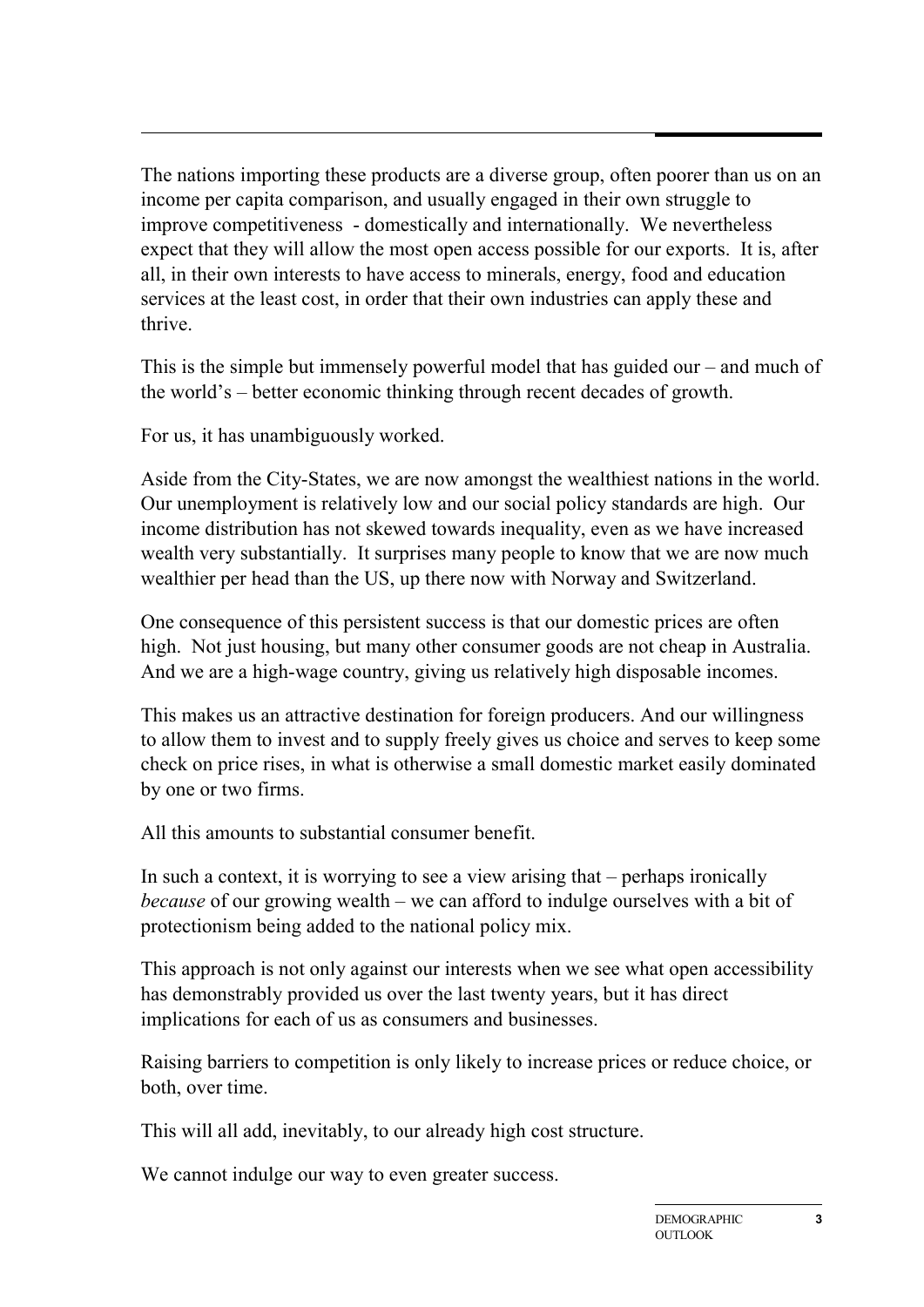The nations importing these products are a diverse group, often poorer than us on an income per capita comparison, and usually engaged in their own struggle to improve competitiveness - domestically and internationally. We nevertheless expect that they will allow the most open access possible for our exports. It is, after all, in their own interests to have access to minerals, energy, food and education services at the least cost, in order that their own industries can apply these and thrive.

This is the simple but immensely powerful model that has guided our – and much of the world's – better economic thinking through recent decades of growth.

For us, it has unambiguously worked.

Aside from the City-States, we are now amongst the wealthiest nations in the world. Our unemployment is relatively low and our social policy standards are high. Our income distribution has not skewed towards inequality, even as we have increased wealth very substantially. It surprises many people to know that we are now much wealthier per head than the US, up there now with Norway and Switzerland.

One consequence of this persistent success is that our domestic prices are often high. Not just housing, but many other consumer goods are not cheap in Australia. And we are a high-wage country, giving us relatively high disposable incomes.

This makes us an attractive destination for foreign producers. And our willingness to allow them to invest and to supply freely gives us choice and serves to keep some check on price rises, in what is otherwise a small domestic market easily dominated by one or two firms.

All this amounts to substantial consumer benefit.

In such a context, it is worrying to see a view arising that – perhaps ironically *because* of our growing wealth – we can afford to indulge ourselves with a bit of protectionism being added to the national policy mix.

This approach is not only against our interests when we see what open accessibility has demonstrably provided us over the last twenty years, but it has direct implications for each of us as consumers and businesses.

Raising barriers to competition is only likely to increase prices or reduce choice, or both, over time.

This will all add, inevitably, to our already high cost structure.

We cannot indulge our way to even greater success.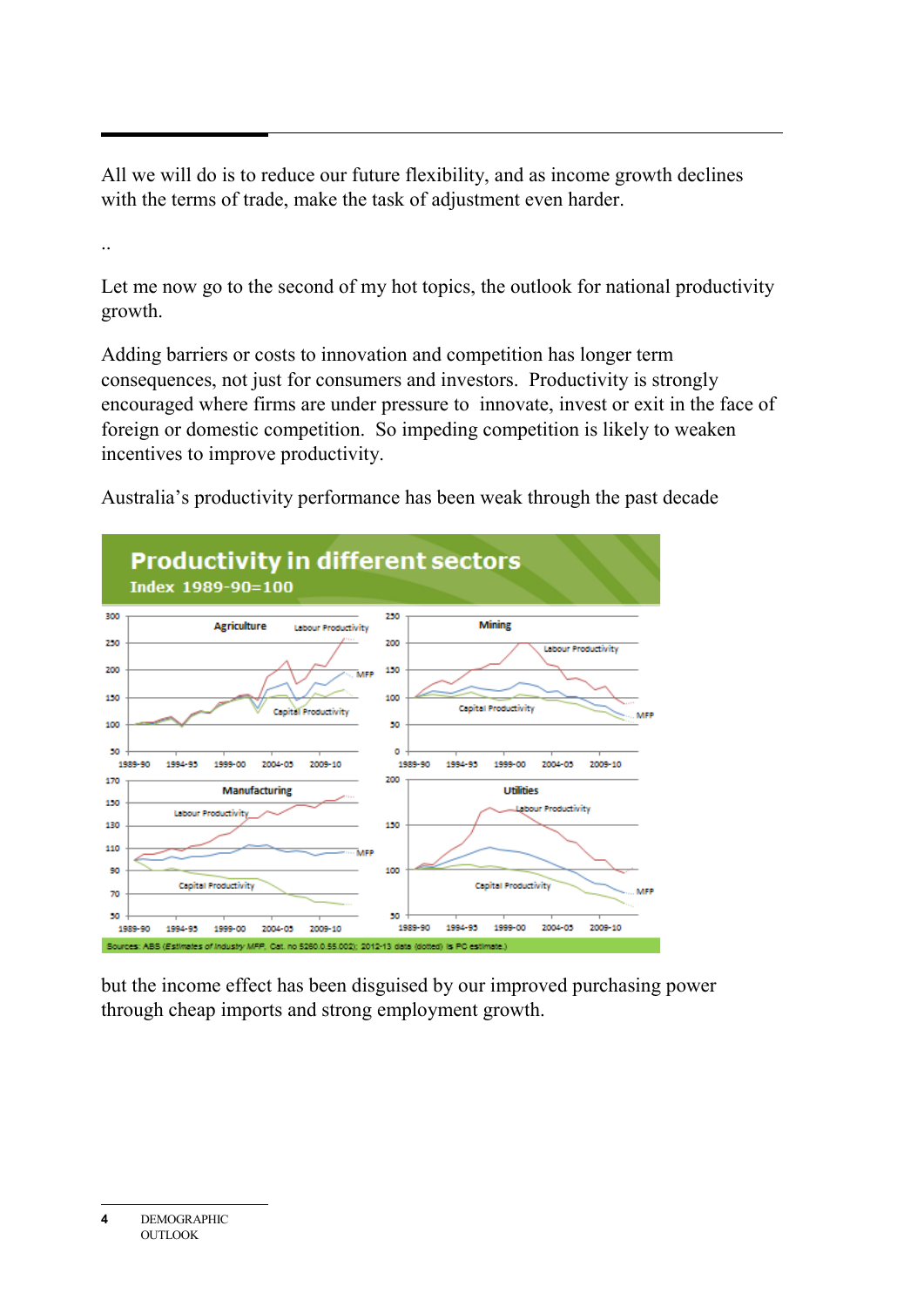All we will do is to reduce our future flexibility, and as income growth declines with the terms of trade, make the task of adjustment even harder.

Let me now go to the second of my hot topics, the outlook for national productivity growth.

Adding barriers or costs to innovation and competition has longer term consequences, not just for consumers and investors. Productivity is strongly encouraged where firms are under pressure to innovate, invest or exit in the face of foreign or domestic competition. So impeding competition is likely to weaken incentives to improve productivity.

Australia's productivity performance has been weak through the past decade



but the income effect has been disguised by our improved purchasing power through cheap imports and strong employment growth.

**<sup>4</sup>** DEMOGRAPHIC **OUTLOOK**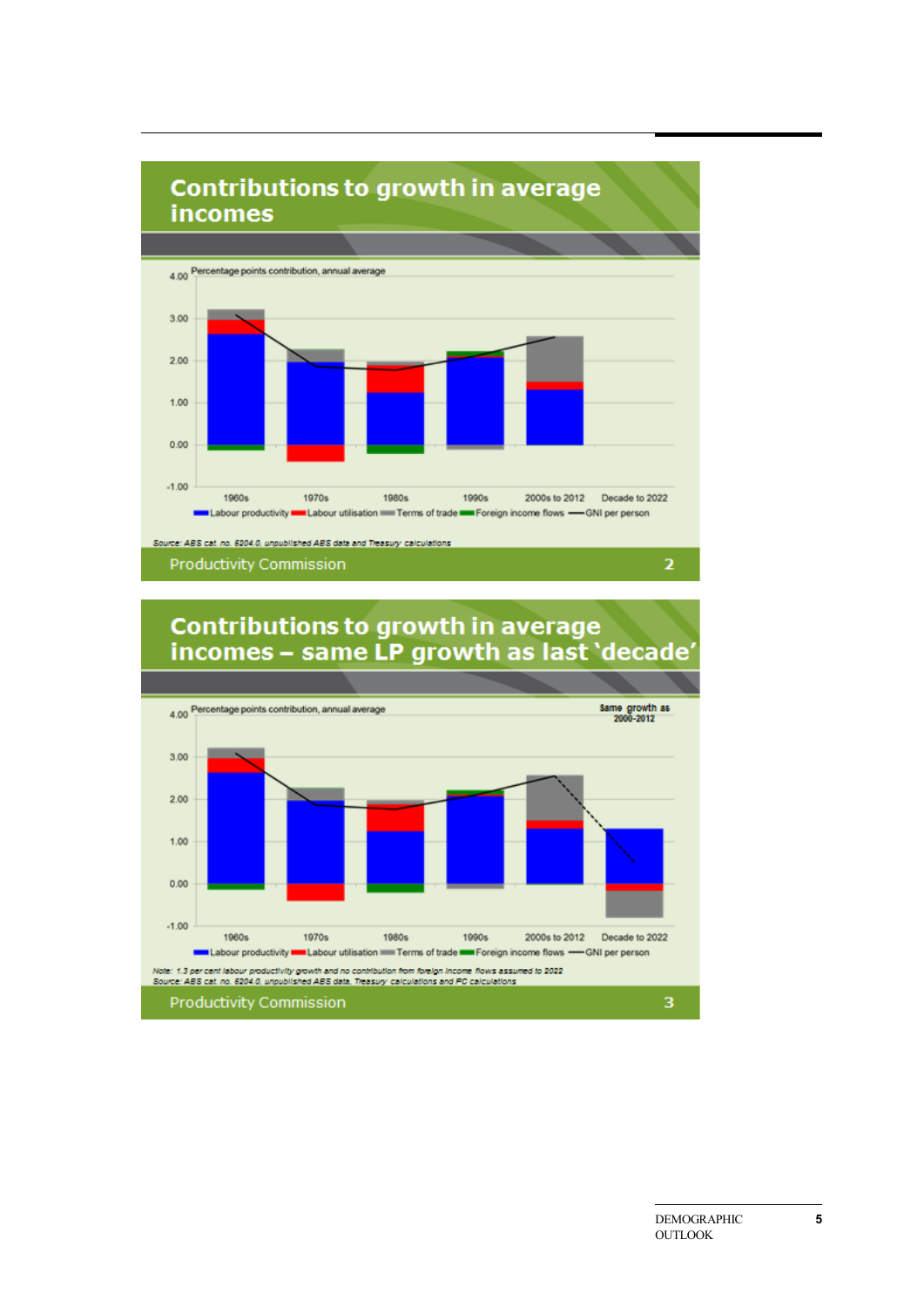

**Productivity Commission** 

**Contributions to growth in average** incomes - same LP growth as last 'decade'

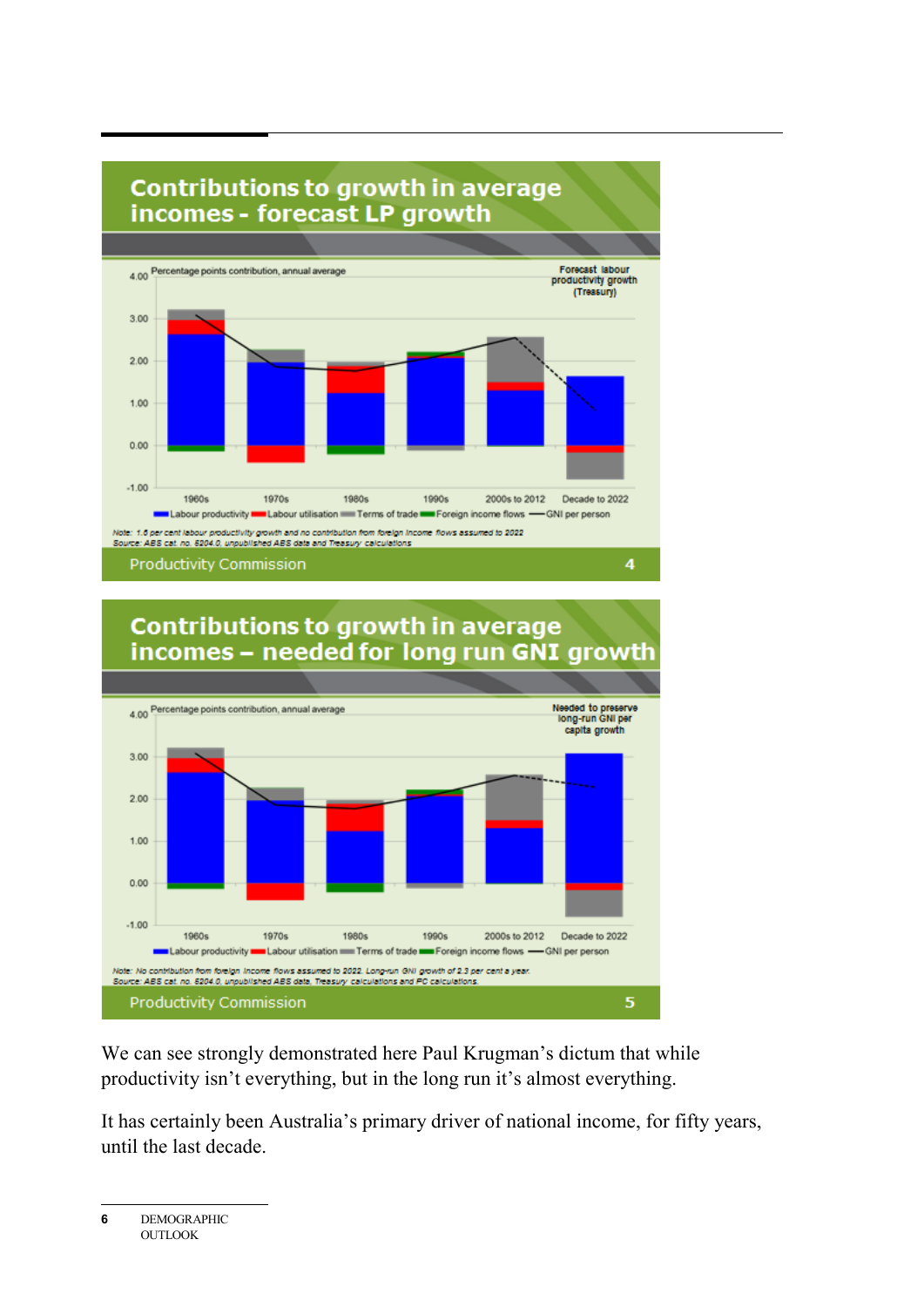

## **Contributions to growth in average** incomes - needed for long run GNI growth



We can see strongly demonstrated here Paul Krugman's dictum that while productivity isn't everything, but in the long run it's almost everything.

It has certainly been Australia's primary driver of national income, for fifty years, until the last decade.

**6** DEMOGRAPHIC **OUTLOOK**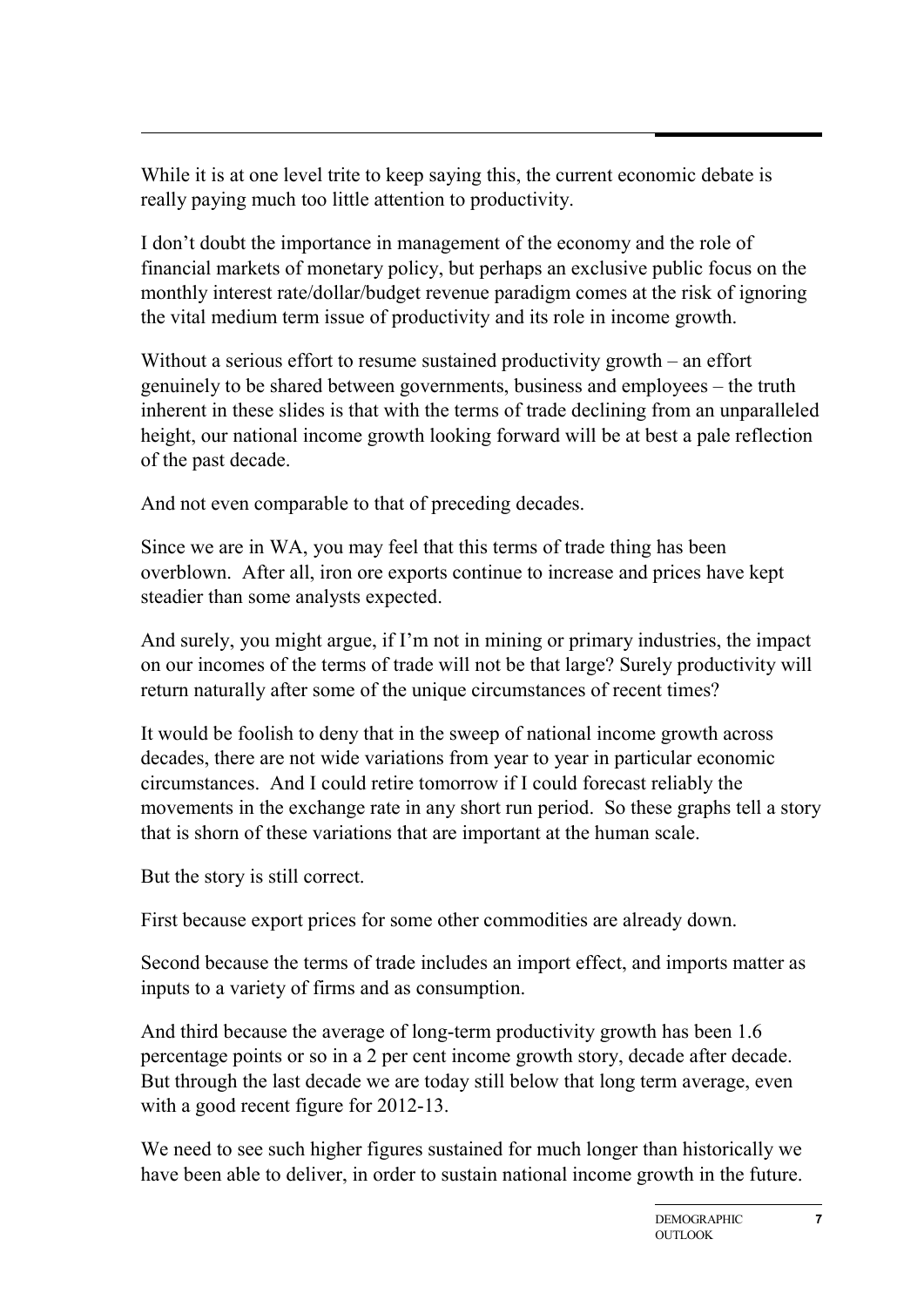While it is at one level trite to keep saying this, the current economic debate is really paying much too little attention to productivity.

I don't doubt the importance in management of the economy and the role of financial markets of monetary policy, but perhaps an exclusive public focus on the monthly interest rate/dollar/budget revenue paradigm comes at the risk of ignoring the vital medium term issue of productivity and its role in income growth.

Without a serious effort to resume sustained productivity growth – an effort genuinely to be shared between governments, business and employees – the truth inherent in these slides is that with the terms of trade declining from an unparalleled height, our national income growth looking forward will be at best a pale reflection of the past decade.

And not even comparable to that of preceding decades.

Since we are in WA, you may feel that this terms of trade thing has been overblown. After all, iron ore exports continue to increase and prices have kept steadier than some analysts expected.

And surely, you might argue, if I'm not in mining or primary industries, the impact on our incomes of the terms of trade will not be that large? Surely productivity will return naturally after some of the unique circumstances of recent times?

It would be foolish to deny that in the sweep of national income growth across decades, there are not wide variations from year to year in particular economic circumstances. And I could retire tomorrow if I could forecast reliably the movements in the exchange rate in any short run period. So these graphs tell a story that is shorn of these variations that are important at the human scale.

But the story is still correct.

First because export prices for some other commodities are already down.

Second because the terms of trade includes an import effect, and imports matter as inputs to a variety of firms and as consumption.

And third because the average of long-term productivity growth has been 1.6 percentage points or so in a 2 per cent income growth story, decade after decade. But through the last decade we are today still below that long term average, even with a good recent figure for 2012-13.

We need to see such higher figures sustained for much longer than historically we have been able to deliver, in order to sustain national income growth in the future.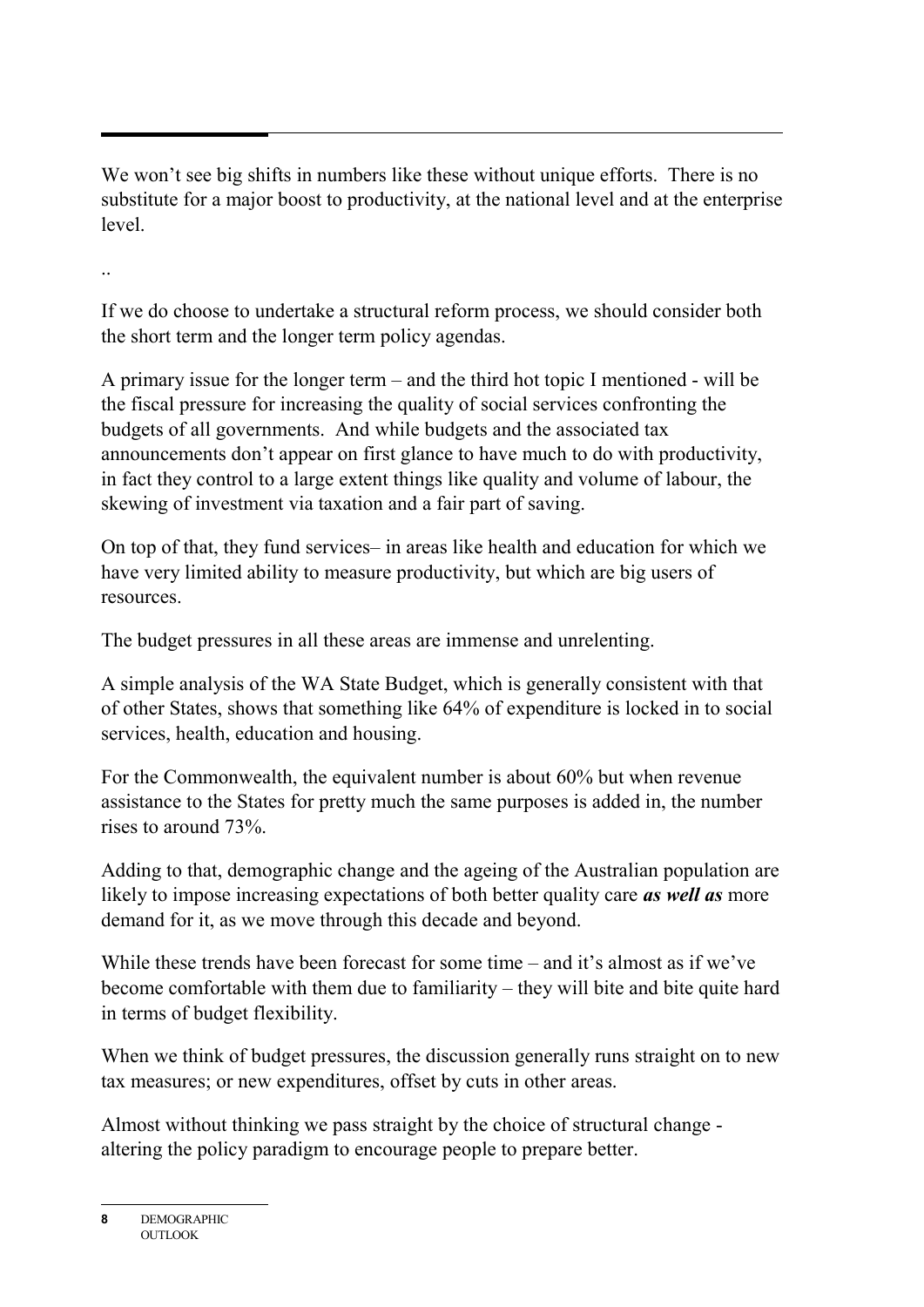We won't see big shifts in numbers like these without unique efforts. There is no substitute for a major boost to productivity, at the national level and at the enterprise level.

..

If we do choose to undertake a structural reform process, we should consider both the short term and the longer term policy agendas.

A primary issue for the longer term – and the third hot topic I mentioned - will be the fiscal pressure for increasing the quality of social services confronting the budgets of all governments. And while budgets and the associated tax announcements don't appear on first glance to have much to do with productivity, in fact they control to a large extent things like quality and volume of labour, the skewing of investment via taxation and a fair part of saving.

On top of that, they fund services– in areas like health and education for which we have very limited ability to measure productivity, but which are big users of resources.

The budget pressures in all these areas are immense and unrelenting.

A simple analysis of the WA State Budget, which is generally consistent with that of other States, shows that something like 64% of expenditure is locked in to social services, health, education and housing.

For the Commonwealth, the equivalent number is about 60% but when revenue assistance to the States for pretty much the same purposes is added in, the number rises to around 73%.

Adding to that, demographic change and the ageing of the Australian population are likely to impose increasing expectations of both better quality care *as well as* more demand for it, as we move through this decade and beyond.

While these trends have been forecast for some time – and it's almost as if we've become comfortable with them due to familiarity – they will bite and bite quite hard in terms of budget flexibility.

When we think of budget pressures, the discussion generally runs straight on to new tax measures; or new expenditures, offset by cuts in other areas.

Almost without thinking we pass straight by the choice of structural change altering the policy paradigm to encourage people to prepare better.

**<sup>8</sup>** DEMOGRAPHIC OUTLOOK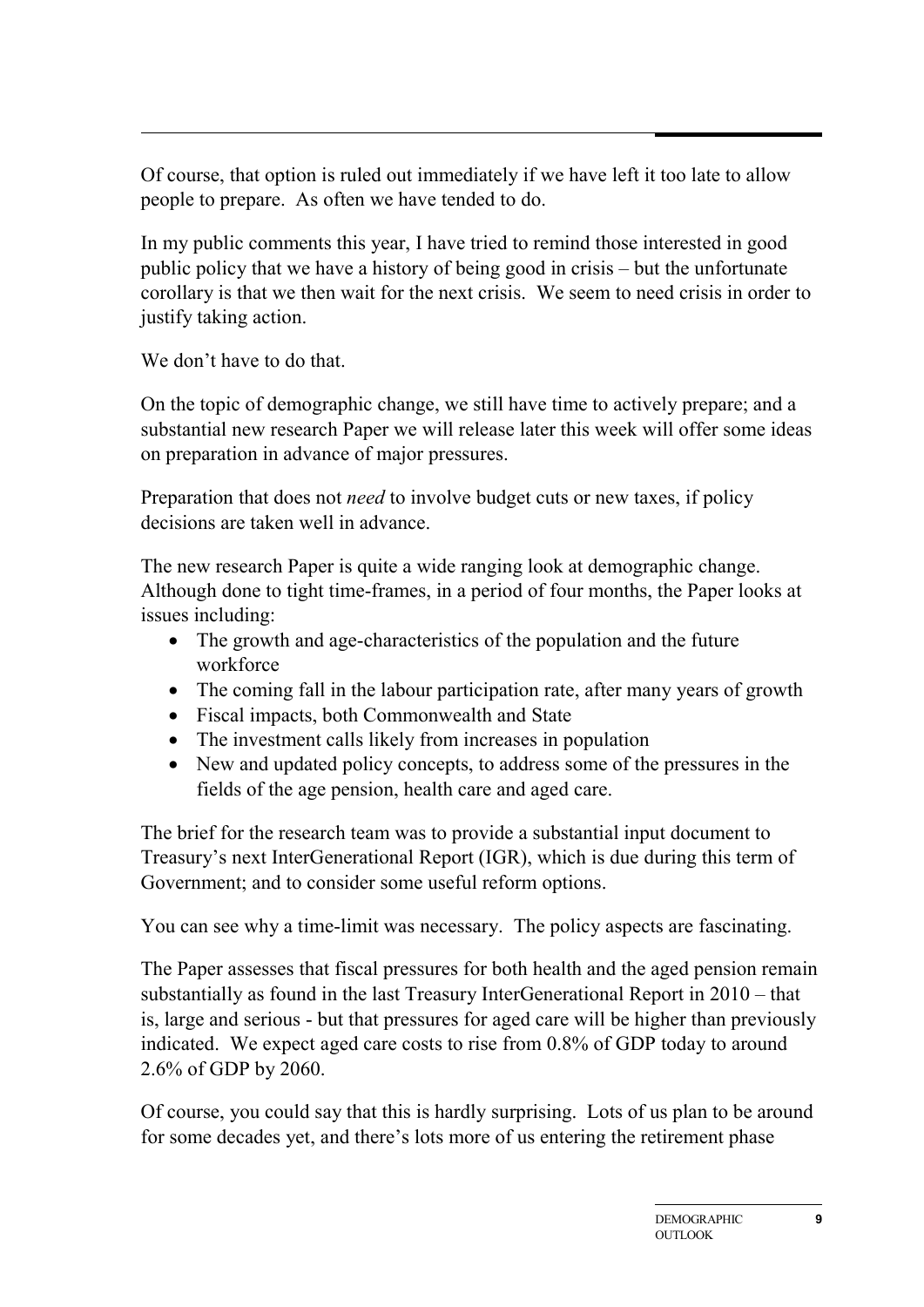Of course, that option is ruled out immediately if we have left it too late to allow people to prepare. As often we have tended to do.

In my public comments this year, I have tried to remind those interested in good public policy that we have a history of being good in crisis – but the unfortunate corollary is that we then wait for the next crisis. We seem to need crisis in order to justify taking action.

We don't have to do that.

On the topic of demographic change, we still have time to actively prepare; and a substantial new research Paper we will release later this week will offer some ideas on preparation in advance of major pressures.

Preparation that does not *need* to involve budget cuts or new taxes, if policy decisions are taken well in advance.

The new research Paper is quite a wide ranging look at demographic change. Although done to tight time-frames, in a period of four months, the Paper looks at issues including:

- The growth and age-characteristics of the population and the future workforce
- The coming fall in the labour participation rate, after many years of growth
- Fiscal impacts, both Commonwealth and State
- The investment calls likely from increases in population
- New and updated policy concepts, to address some of the pressures in the fields of the age pension, health care and aged care.

The brief for the research team was to provide a substantial input document to Treasury's next InterGenerational Report (IGR), which is due during this term of Government; and to consider some useful reform options.

You can see why a time-limit was necessary. The policy aspects are fascinating.

The Paper assesses that fiscal pressures for both health and the aged pension remain substantially as found in the last Treasury InterGenerational Report in 2010 – that is, large and serious - but that pressures for aged care will be higher than previously indicated. We expect aged care costs to rise from 0.8% of GDP today to around 2.6% of GDP by 2060.

Of course, you could say that this is hardly surprising. Lots of us plan to be around for some decades yet, and there's lots more of us entering the retirement phase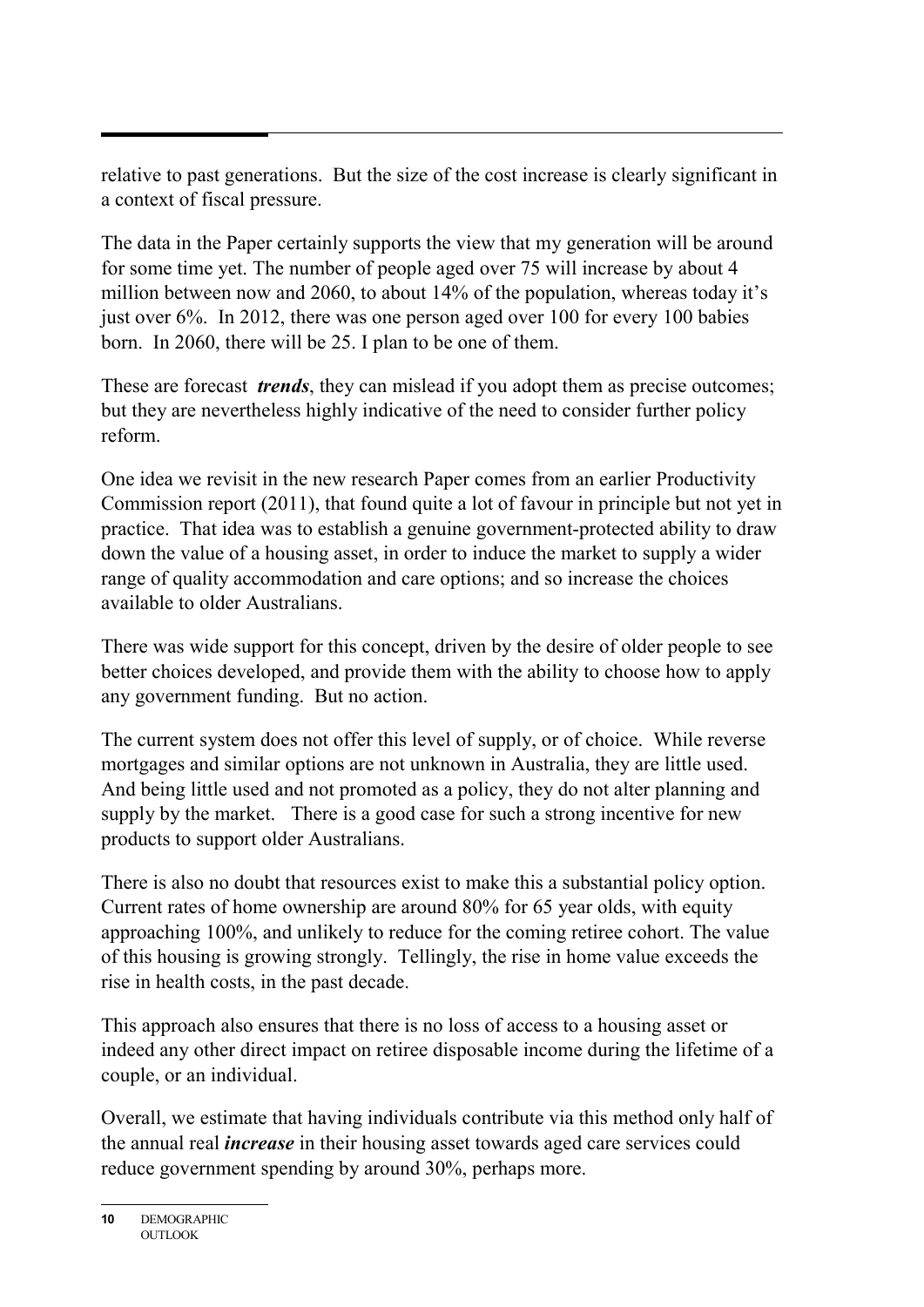relative to past generations. But the size of the cost increase is clearly significant in a context of fiscal pressure.

The data in the Paper certainly supports the view that my generation will be around for some time yet. The number of people aged over 75 will increase by about 4 million between now and 2060, to about 14% of the population, whereas today it's just over 6%. In 2012, there was one person aged over 100 for every 100 babies born. In 2060, there will be 25. I plan to be one of them.

These are forecast *trends*, they can mislead if you adopt them as precise outcomes; but they are nevertheless highly indicative of the need to consider further policy reform.

One idea we revisit in the new research Paper comes from an earlier Productivity Commission report (2011), that found quite a lot of favour in principle but not yet in practice. That idea was to establish a genuine government-protected ability to draw down the value of a housing asset, in order to induce the market to supply a wider range of quality accommodation and care options; and so increase the choices available to older Australians.

There was wide support for this concept, driven by the desire of older people to see better choices developed, and provide them with the ability to choose how to apply any government funding. But no action.

The current system does not offer this level of supply, or of choice. While reverse mortgages and similar options are not unknown in Australia, they are little used. And being little used and not promoted as a policy, they do not alter planning and supply by the market. There is a good case for such a strong incentive for new products to support older Australians.

There is also no doubt that resources exist to make this a substantial policy option. Current rates of home ownership are around 80% for 65 year olds, with equity approaching 100%, and unlikely to reduce for the coming retiree cohort. The value of this housing is growing strongly. Tellingly, the rise in home value exceeds the rise in health costs, in the past decade.

This approach also ensures that there is no loss of access to a housing asset or indeed any other direct impact on retiree disposable income during the lifetime of a couple, or an individual.

Overall, we estimate that having individuals contribute via this method only half of the annual real *increase* in their housing asset towards aged care services could reduce government spending by around 30%, perhaps more.

**<sup>10</sup>** DEMOGRAPHIC OUTLOOK